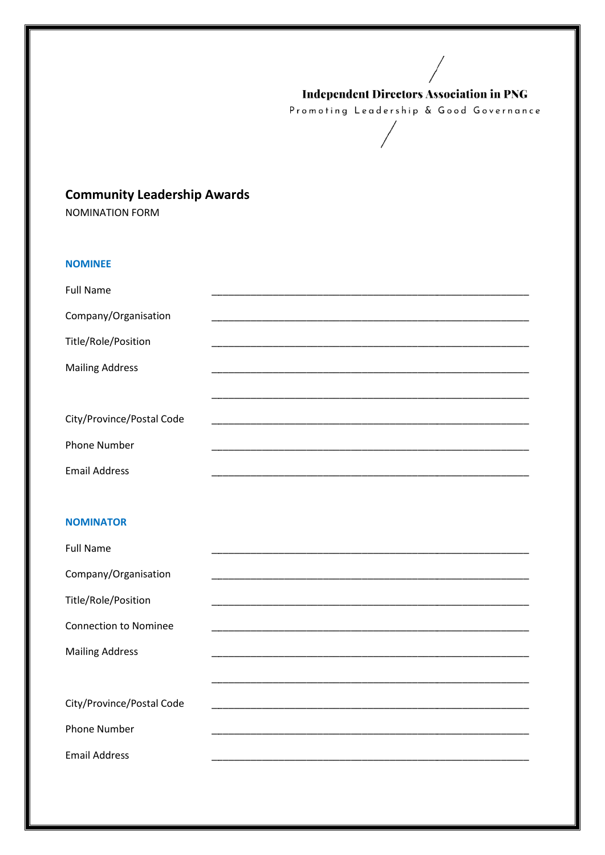## **Independent Directors Association in PNG**

Promoting Leadership & Good Governance

# **Community Leadership Awards**

**NOMINATION FORM** 

# **NOMINEE**

| <b>Full Name</b>          |  |
|---------------------------|--|
| Company/Organisation      |  |
| Title/Role/Position       |  |
| <b>Mailing Address</b>    |  |
|                           |  |
|                           |  |
| City/Province/Postal Code |  |
| <b>Phone Number</b>       |  |
| <b>Email Address</b>      |  |

## **NOMINATOR**

| <b>Full Name</b>             |  |
|------------------------------|--|
| Company/Organisation         |  |
| Title/Role/Position          |  |
| <b>Connection to Nominee</b> |  |
| <b>Mailing Address</b>       |  |
|                              |  |
| City/Province/Postal Code    |  |
| <b>Phone Number</b>          |  |
| <b>Email Address</b>         |  |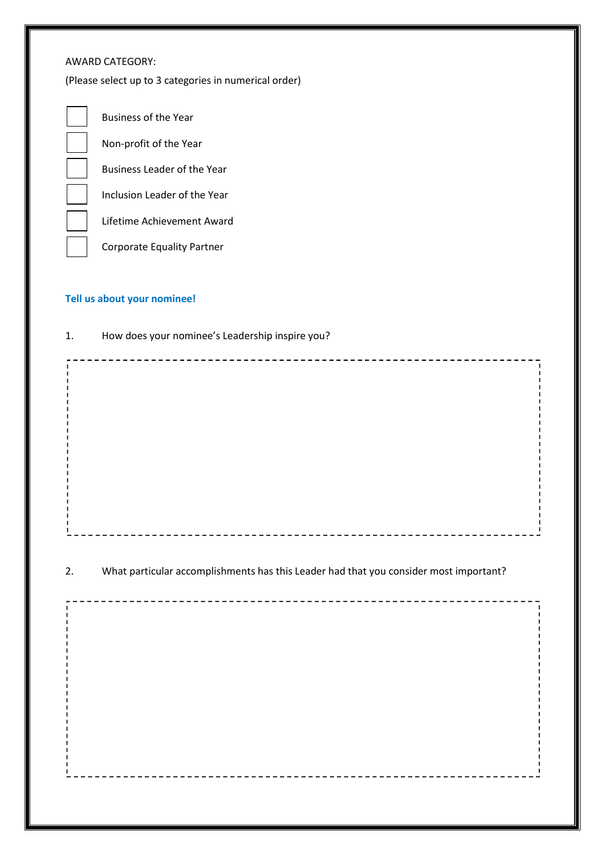## AWARD CATEGORY:

(Please select up to 3 categories in numerical order)



## **Tell us about your nominee!**

| 1. | How does your nominee's Leadership inspire you?                                       |  |
|----|---------------------------------------------------------------------------------------|--|
|    |                                                                                       |  |
| 2. | What particular accomplishments has this Leader had that you consider most important? |  |
|    |                                                                                       |  |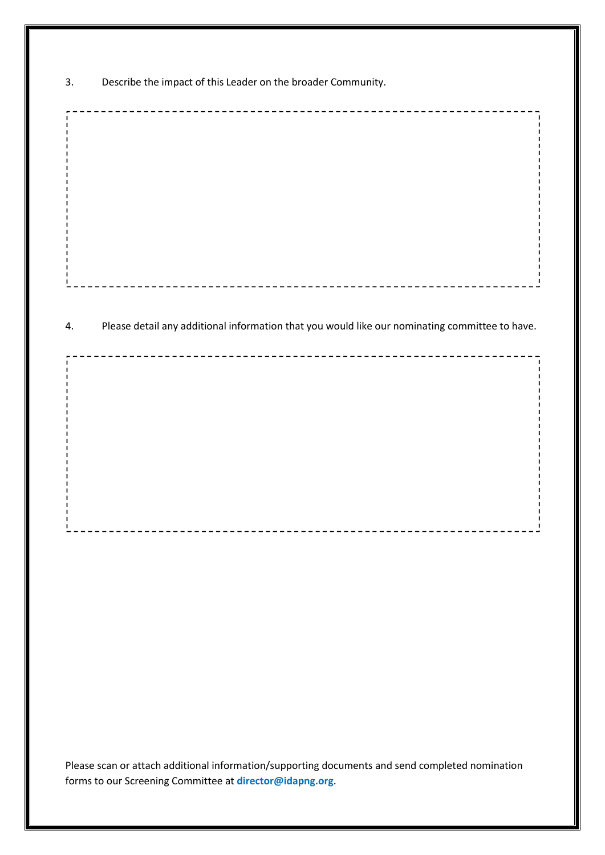3. Describe the impact of this Leader on the broader Community.

4. Please detail any additional information that you would like our nominating committee to have.

Please scan or attach additional information/supporting documents and send completed nomination forms to our Screening Committee at **director@idapng.org**.